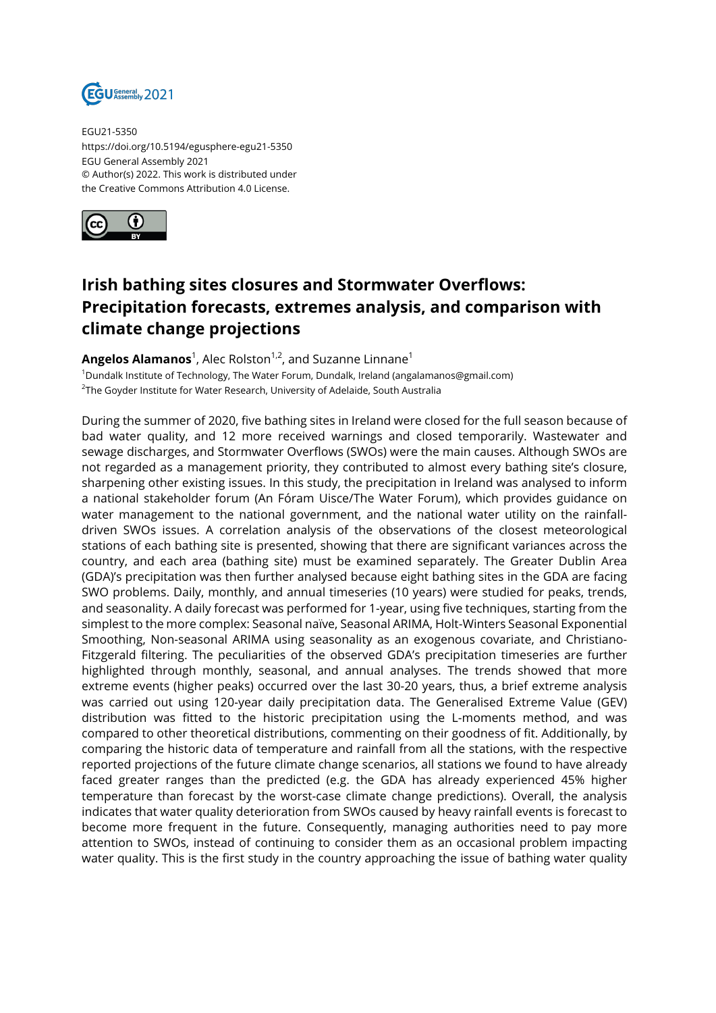

EGU21-5350 https://doi.org/10.5194/egusphere-egu21-5350 EGU General Assembly 2021 © Author(s) 2022. This work is distributed under the Creative Commons Attribution 4.0 License.



## **Irish bathing sites closures and Stormwater Overflows: Precipitation forecasts, extremes analysis, and comparison with climate change projections**

**Angelos Alamanos**<sup>1</sup>, Alec Rolston<sup>1,2</sup>, and Suzanne Linnane<sup>1</sup> <sup>1</sup>Dundalk Institute of Technology, The Water Forum, Dundalk, Ireland (angalamanos@gmail.com)  $^{\text{2}}$ The Goyder Institute for Water Research, University of Adelaide, South Australia

During the summer of 2020, five bathing sites in Ireland were closed for the full season because of bad water quality, and 12 more received warnings and closed temporarily. Wastewater and sewage discharges, and Stormwater Overflows (SWOs) were the main causes. Although SWOs are not regarded as a management priority, they contributed to almost every bathing site's closure, sharpening other existing issues. In this study, the precipitation in Ireland was analysed to inform a national stakeholder forum (An Fóram Uisce/The Water Forum), which provides guidance on water management to the national government, and the national water utility on the rainfalldriven SWOs issues. A correlation analysis of the observations of the closest meteorological stations of each bathing site is presented, showing that there are significant variances across the country, and each area (bathing site) must be examined separately. The Greater Dublin Area (GDA)'s precipitation was then further analysed because eight bathing sites in the GDA are facing SWO problems. Daily, monthly, and annual timeseries (10 years) were studied for peaks, trends, and seasonality. A daily forecast was performed for 1-year, using five techniques, starting from the simplest to the more complex: Seasonal naïve, Seasonal ARIMA, Holt-Winters Seasonal Exponential Smoothing, Non-seasonal ARIMA using seasonality as an exogenous covariate, and Christiano-Fitzgerald filtering. The peculiarities of the observed GDA's precipitation timeseries are further highlighted through monthly, seasonal, and annual analyses. The trends showed that more extreme events (higher peaks) occurred over the last 30-20 years, thus, a brief extreme analysis was carried out using 120-year daily precipitation data. The Generalised Extreme Value (GEV) distribution was fitted to the historic precipitation using the L-moments method, and was compared to other theoretical distributions, commenting on their goodness of fit. Additionally, by comparing the historic data of temperature and rainfall from all the stations, with the respective reported projections of the future climate change scenarios, all stations we found to have already faced greater ranges than the predicted (e.g. the GDA has already experienced 45% higher temperature than forecast by the worst-case climate change predictions). Overall, the analysis indicates that water quality deterioration from SWOs caused by heavy rainfall events is forecast to become more frequent in the future. Consequently, managing authorities need to pay more attention to SWOs, instead of continuing to consider them as an occasional problem impacting water quality. This is the first study in the country approaching the issue of bathing water quality